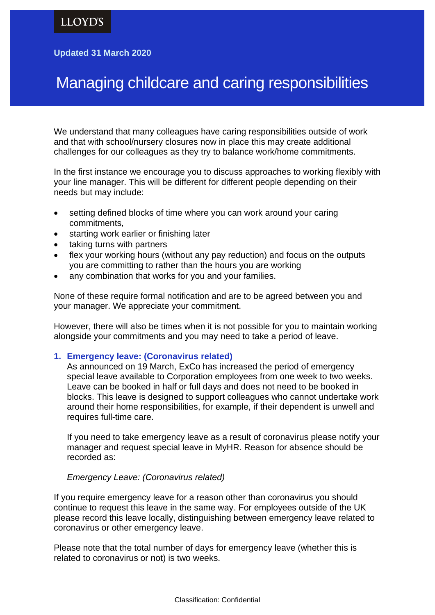## **Updated 31 March 2020**

# Managing childcare and caring responsibilities

We understand that many colleagues have caring responsibilities outside of work and that with school/nursery closures now in place this may create additional challenges for our colleagues as they try to balance work/home commitments.

In the first instance we encourage you to discuss approaches to working flexibly with your line manager. This will be different for different people depending on their needs but may include:

- setting defined blocks of time where you can work around your caring commitments,
- starting work earlier or finishing later
- taking turns with partners
- flex your working hours (without any pay reduction) and focus on the outputs you are committing to rather than the hours you are working
- any combination that works for you and your families.

None of these require formal notification and are to be agreed between you and your manager. We appreciate your commitment.

However, there will also be times when it is not possible for you to maintain working alongside your commitments and you may need to take a period of leave.

#### **1. Emergency leave: (Coronavirus related)**

As announced on 19 March, ExCo has increased the period of emergency special leave available to Corporation employees from one week to two weeks. Leave can be booked in half or full days and does not need to be booked in blocks. This leave is designed to support colleagues who cannot undertake work around their home responsibilities, for example, if their dependent is unwell and requires full-time care.

If you need to take emergency leave as a result of coronavirus please notify your manager and request special leave in MyHR. Reason for absence should be recorded as:

## *Emergency Leave: (Coronavirus related)*

If you require emergency leave for a reason other than coronavirus you should continue to request this leave in the same way. For employees outside of the UK please record this leave locally, distinguishing between emergency leave related to coronavirus or other emergency leave.

Please note that the total number of days for emergency leave (whether this is related to coronavirus or not) is two weeks.